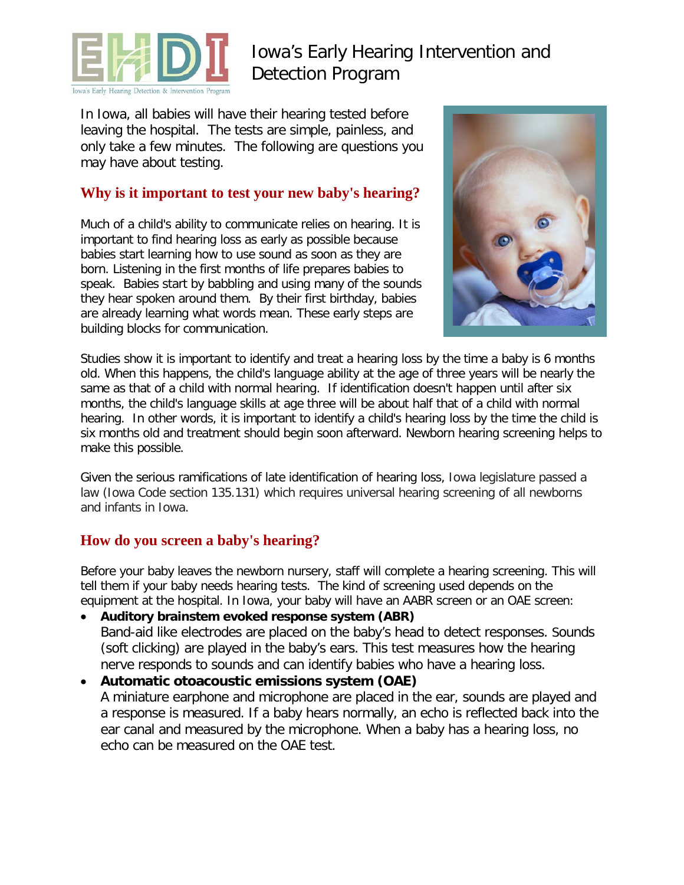

# Iowa's Early Hearing Intervention and Detection Program

In Iowa, all babies will have their hearing tested before leaving the hospital. The tests are simple, painless, and only take a few minutes. The following are questions you may have about testing.

#### **Why is it important to test your new baby's hearing?**

Much of a child's ability to communicate relies on hearing. It is important to find hearing loss as early as possible because babies start learning how to use sound as soon as they are born. Listening in the first months of life prepares babies to speak. Babies start by babbling and using many of the sounds they hear spoken around them. By their first birthday, babies are already learning what words mean. These early steps are building blocks for communication.



Studies show it is important to identify and treat a hearing loss by the time a baby is 6 months old. When this happens, the child's language ability at the age of three years will be nearly the same as that of a child with normal hearing. If identification doesn't happen until after six months, the child's language skills at age three will be about half that of a child with normal hearing. In other words, it is important to identify a child's hearing loss by the time the child is six months old and treatment should begin soon afterward. Newborn hearing screening helps to make this possible.

Given the serious ramifications of late identification of hearing loss, Iowa legislature passed a law (Iowa Code section 135.131) which requires universal hearing screening of all newborns and infants in Iowa.

#### **How do you screen a baby's hearing?**

Before your baby leaves the newborn nursery, staff will complete a hearing screening. This will tell them if your baby needs hearing tests. The kind of screening used depends on the equipment at the hospital. In Iowa, your baby will have an AABR screen or an OAE screen:

- **Auditory brainstem evoked response system (ABR)** Band-aid like electrodes are placed on the baby's head to detect responses. Sounds (soft clicking) are played in the baby's ears. This test measures how the hearing nerve responds to sounds and can identify babies who have a hearing loss.
- **Automatic otoacoustic emissions system (OAE)** A miniature earphone and microphone are placed in the ear, sounds are played and a response is measured. If a baby hears normally, an echo is reflected back into the ear canal and measured by the microphone. When a baby has a hearing loss, no echo can be measured on the OAE test.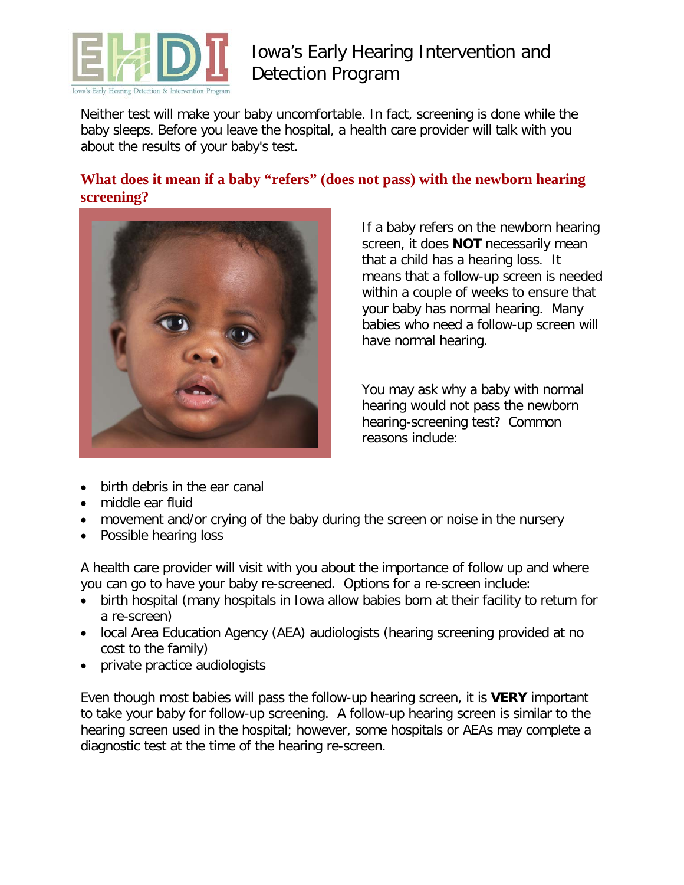

# Iowa's Early Hearing Intervention and Detection Program

Neither test will make your baby uncomfortable. In fact, screening is done while the baby sleeps. Before you leave the hospital, a health care provider will talk with you about the results of your baby's test.

### **What does it mean if a baby "refers" (does not pass) with the newborn hearing screening?**



If a baby refers on the newborn hearing screen, it does **NOT** necessarily mean that a child has a hearing loss. It means that a follow-up screen is needed within a couple of weeks to ensure that your baby has normal hearing. Many babies who need a follow-up screen will have normal hearing.

You may ask why a baby with normal hearing would not pass the newborn hearing-screening test? Common reasons include:

- birth debris in the ear canal
- middle ear fluid
- movement and/or crying of the baby during the screen or noise in the nursery
- Possible hearing loss

A health care provider will visit with you about the importance of follow up and where you can go to have your baby re-screened. Options for a re-screen include:

- birth hospital (many hospitals in Iowa allow babies born at their facility to return for a re-screen)
- local Area Education Agency (AEA) audiologists (hearing screening provided at no cost to the family)
- private practice audiologists

Even though most babies will pass the follow-up hearing screen, it is **VERY** important to take your baby for follow-up screening. A follow-up hearing screen is similar to the hearing screen used in the hospital; however, some hospitals or AEAs may complete a diagnostic test at the time of the hearing re-screen.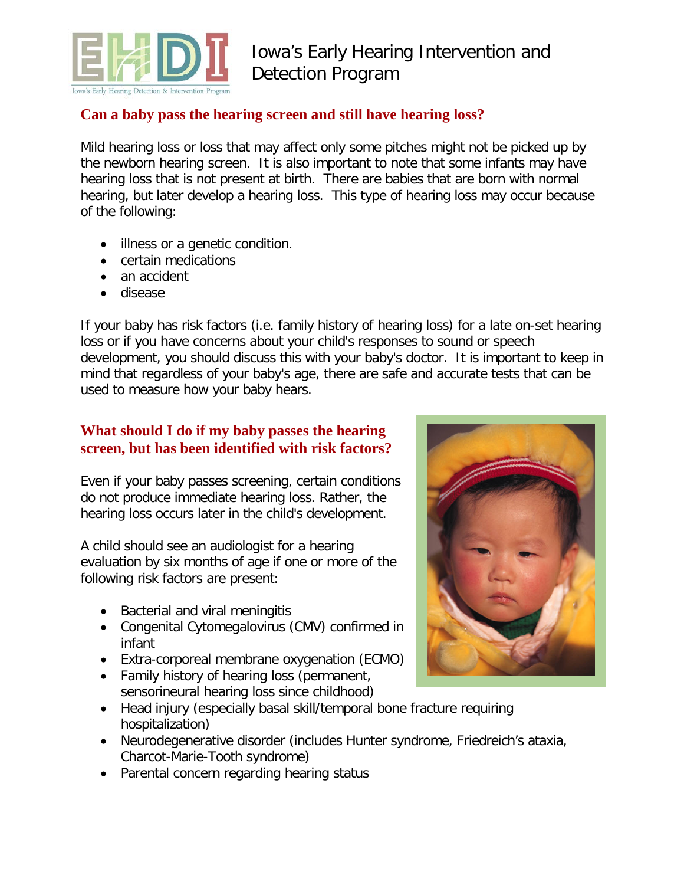

### **Can a baby pass the hearing screen and still have hearing loss?**

Mild hearing loss or loss that may affect only some pitches might not be picked up by the newborn hearing screen. It is also important to note that some infants may have hearing loss that is not present at birth. There are babies that are born with normal hearing, but later develop a hearing loss. This type of hearing loss may occur because of the following:

- illness or a genetic condition.
- certain medications
- an accident
- disease

If your baby has risk factors (i.e. family history of hearing loss) for a late on-set hearing loss or if you have concerns about your child's responses to sound or speech development, you should discuss this with your baby's doctor. It is important to keep in mind that regardless of your baby's age, there are safe and accurate tests that can be used to measure how your baby hears.

#### **What should I do if my baby passes the hearing screen, but has been identified with risk factors?**

Even if your baby passes screening, certain conditions do not produce immediate hearing loss. Rather, the hearing loss occurs later in the child's development.

A child should see an audiologist for a hearing evaluation by six months of age if one or more of the following risk factors are present:

- Bacterial and viral meningitis
- Congenital Cytomegalovirus (CMV) confirmed in infant
- Extra-corporeal membrane oxygenation (ECMO)
- Family history of hearing loss (permanent, sensorineural hearing loss since childhood)
- Head injury (especially basal skill/temporal bone fracture requiring hospitalization)
- Neurodegenerative disorder (includes Hunter syndrome, Friedreich's ataxia, Charcot-Marie-Tooth syndrome)
- Parental concern regarding hearing status

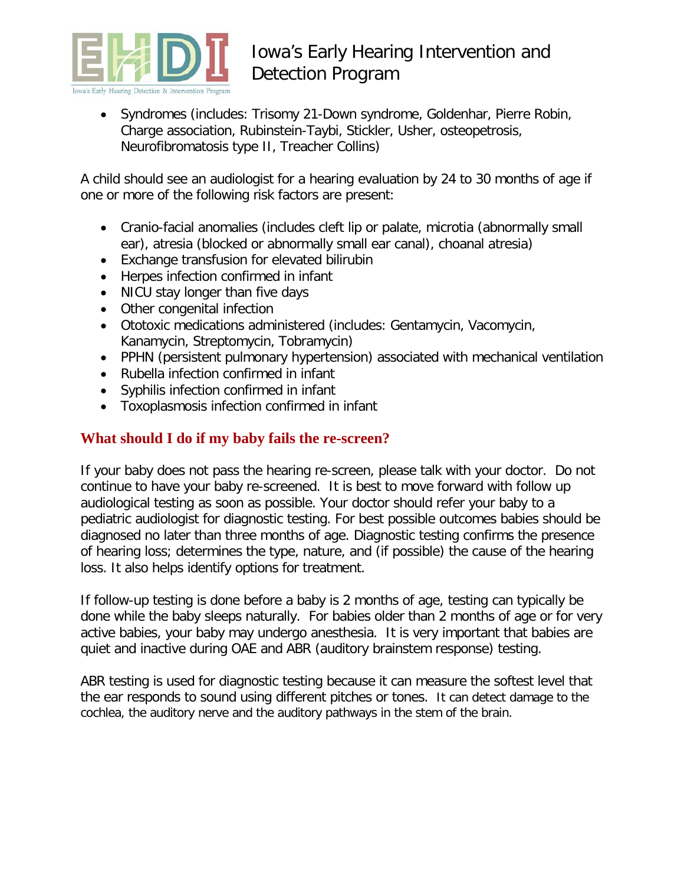

# Iowa's Early Hearing Intervention and Detection Program

• Syndromes (includes: Trisomy 21-Down syndrome, Goldenhar, Pierre Robin, Charge association, Rubinstein-Taybi, Stickler, Usher, osteopetrosis, Neurofibromatosis type II, Treacher Collins)

A child should see an audiologist for a hearing evaluation by 24 to 30 months of age if one or more of the following risk factors are present:

- Cranio-facial anomalies (includes cleft lip or palate, microtia (abnormally small ear), atresia (blocked or abnormally small ear canal), choanal atresia)
- Exchange transfusion for elevated bilirubin
- Herpes infection confirmed in infant
- NICU stay longer than five days
- Other congenital infection
- Ototoxic medications administered (includes: Gentamycin, Vacomycin, Kanamycin, Streptomycin, Tobramycin)
- PPHN (persistent pulmonary hypertension) associated with mechanical ventilation
- Rubella infection confirmed in infant
- Syphilis infection confirmed in infant
- Toxoplasmosis infection confirmed in infant

### **What should I do if my baby fails the re-screen?**

If your baby does not pass the hearing re-screen, please talk with your doctor. Do not continue to have your baby re-screened. It is best to move forward with follow up audiological testing as soon as possible. Your doctor should refer your baby to a pediatric audiologist for diagnostic testing. For best possible outcomes babies should be diagnosed no later than three months of age. Diagnostic testing confirms the presence of hearing loss; determines the type, nature, and (if possible) the cause of the hearing loss. It also helps identify options for treatment.

If follow-up testing is done before a baby is 2 months of age, testing can typically be done while the baby sleeps naturally. For babies older than 2 months of age or for very active babies, your baby may undergo anesthesia. It is very important that babies are quiet and inactive during OAE and ABR (auditory brainstem response) testing.

ABR testing is used for diagnostic testing because it can measure the softest level that the ear responds to sound using different pitches or tones. It can detect damage to the cochlea, the auditory nerve and the auditory pathways in the stem of the brain.